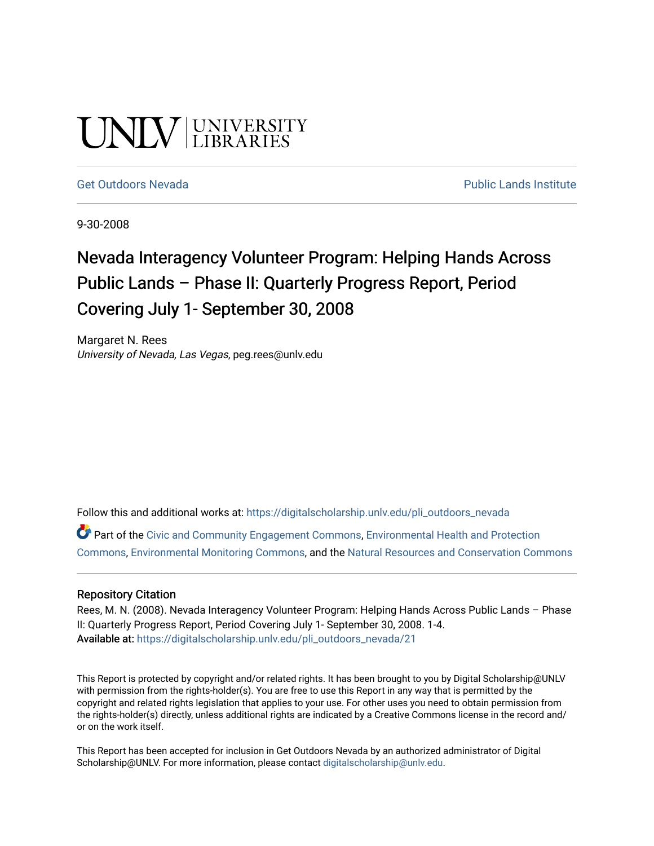# UNIV UNIVERSITY

[Get Outdoors Nevada](https://digitalscholarship.unlv.edu/pli_outdoors_nevada) **Public Lands Institute** Public Lands Institute

9-30-2008

# Nevada Interagency Volunteer Program: Helping Hands Across Public Lands – Phase II: Quarterly Progress Report, Period Covering July 1- September 30, 2008

Margaret N. Rees University of Nevada, Las Vegas, peg.rees@unlv.edu

Follow this and additional works at: [https://digitalscholarship.unlv.edu/pli\\_outdoors\\_nevada](https://digitalscholarship.unlv.edu/pli_outdoors_nevada?utm_source=digitalscholarship.unlv.edu%2Fpli_outdoors_nevada%2F21&utm_medium=PDF&utm_campaign=PDFCoverPages)

Part of the [Civic and Community Engagement Commons](http://network.bepress.com/hgg/discipline/1028?utm_source=digitalscholarship.unlv.edu%2Fpli_outdoors_nevada%2F21&utm_medium=PDF&utm_campaign=PDFCoverPages), [Environmental Health and Protection](http://network.bepress.com/hgg/discipline/172?utm_source=digitalscholarship.unlv.edu%2Fpli_outdoors_nevada%2F21&utm_medium=PDF&utm_campaign=PDFCoverPages)  [Commons](http://network.bepress.com/hgg/discipline/172?utm_source=digitalscholarship.unlv.edu%2Fpli_outdoors_nevada%2F21&utm_medium=PDF&utm_campaign=PDFCoverPages), [Environmental Monitoring Commons,](http://network.bepress.com/hgg/discipline/931?utm_source=digitalscholarship.unlv.edu%2Fpli_outdoors_nevada%2F21&utm_medium=PDF&utm_campaign=PDFCoverPages) and the [Natural Resources and Conservation Commons](http://network.bepress.com/hgg/discipline/168?utm_source=digitalscholarship.unlv.edu%2Fpli_outdoors_nevada%2F21&utm_medium=PDF&utm_campaign=PDFCoverPages)

#### Repository Citation

Rees, M. N. (2008). Nevada Interagency Volunteer Program: Helping Hands Across Public Lands - Phase II: Quarterly Progress Report, Period Covering July 1- September 30, 2008. 1-4. Available at: [https://digitalscholarship.unlv.edu/pli\\_outdoors\\_nevada/21](https://digitalscholarship.unlv.edu/pli_outdoors_nevada/21) 

This Report is protected by copyright and/or related rights. It has been brought to you by Digital Scholarship@UNLV with permission from the rights-holder(s). You are free to use this Report in any way that is permitted by the copyright and related rights legislation that applies to your use. For other uses you need to obtain permission from the rights-holder(s) directly, unless additional rights are indicated by a Creative Commons license in the record and/ or on the work itself.

This Report has been accepted for inclusion in Get Outdoors Nevada by an authorized administrator of Digital Scholarship@UNLV. For more information, please contact [digitalscholarship@unlv.edu.](mailto:digitalscholarship@unlv.edu)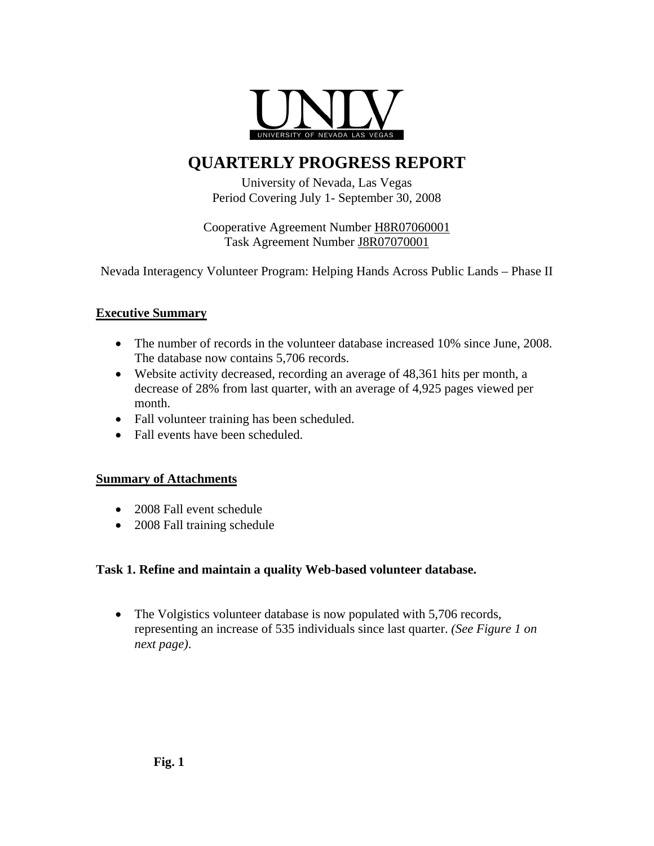

## **QUARTERLY PROGRESS REPORT**

University of Nevada, Las Vegas Period Covering July 1- September 30, 2008

Cooperative Agreement Number H8R07060001 Task Agreement Number J8R07070001

Nevada Interagency Volunteer Program: Helping Hands Across Public Lands – Phase II

#### **Executive Summary**

- The number of records in the volunteer database increased 10% since June, 2008. The database now contains 5,706 records.
- Website activity decreased, recording an average of 48,361 hits per month, a decrease of 28% from last quarter, with an average of 4,925 pages viewed per month.
- Fall volunteer training has been scheduled.
- Fall events have been scheduled.

### **Summary of Attachments**

- 2008 Fall event schedule
- 2008 Fall training schedule

### **Task 1. Refine and maintain a quality Web-based volunteer database.**

• The Volgistics volunteer database is now populated with 5,706 records, representing an increase of 535 individuals since last quarter. *(See Figure 1 on next page)*.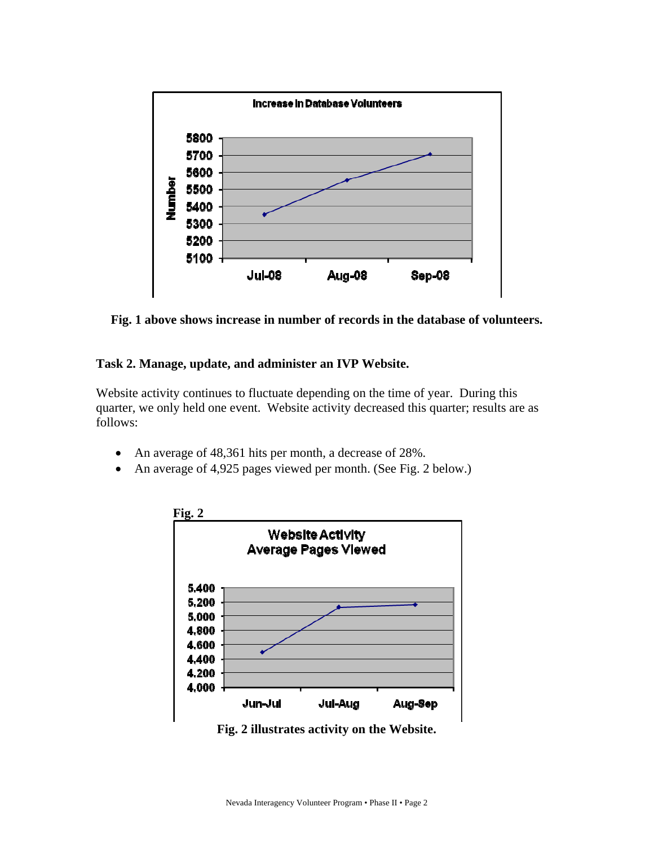

**Fig. 1 above shows increase in number of records in the database of volunteers.** 

#### **Task 2. Manage, update, and administer an IVP Website.**

Website activity continues to fluctuate depending on the time of year. During this quarter, we only held one event. Website activity decreased this quarter; results are as follows:

- An average of 48,361 hits per month, a decrease of 28%.
- An average of 4,925 pages viewed per month. (See Fig. 2 below.)



**Fig. 2 illustrates activity on the Website.**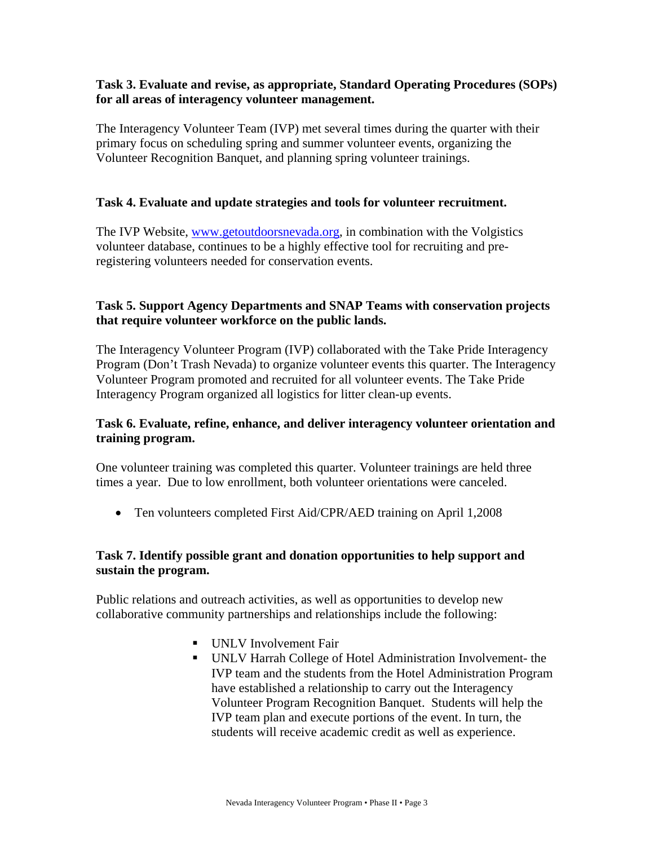#### **Task 3. Evaluate and revise, as appropriate, Standard Operating Procedures (SOPs) for all areas of interagency volunteer management.**

The Interagency Volunteer Team (IVP) met several times during the quarter with their primary focus on scheduling spring and summer volunteer events, organizing the Volunteer Recognition Banquet, and planning spring volunteer trainings.

#### **Task 4. Evaluate and update strategies and tools for volunteer recruitment.**

The IVP Website, [www.getoutdoorsnevada.org,](http://www.getoutdoorsnevada.org/) in combination with the Volgistics volunteer database, continues to be a highly effective tool for recruiting and preregistering volunteers needed for conservation events.

#### **Task 5. Support Agency Departments and SNAP Teams with conservation projects that require volunteer workforce on the public lands.**

The Interagency Volunteer Program (IVP) collaborated with the Take Pride Interagency Program (Don't Trash Nevada) to organize volunteer events this quarter. The Interagency Volunteer Program promoted and recruited for all volunteer events. The Take Pride Interagency Program organized all logistics for litter clean-up events.

#### **Task 6. Evaluate, refine, enhance, and deliver interagency volunteer orientation and training program.**

One volunteer training was completed this quarter. Volunteer trainings are held three times a year. Due to low enrollment, both volunteer orientations were canceled.

• Ten volunteers completed First Aid/CPR/AED training on April 1,2008

#### **Task 7. Identify possible grant and donation opportunities to help support and sustain the program.**

Public relations and outreach activities, as well as opportunities to develop new collaborative community partnerships and relationships include the following:

- **UNLV** Involvement Fair
- UNLV Harrah College of Hotel Administration Involvement- the IVP team and the students from the Hotel Administration Program have established a relationship to carry out the Interagency Volunteer Program Recognition Banquet. Students will help the IVP team plan and execute portions of the event. In turn, the students will receive academic credit as well as experience.